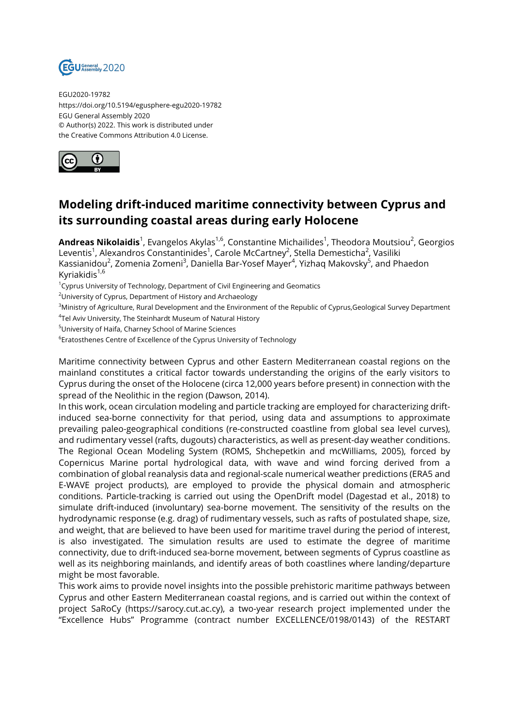

EGU2020-19782 https://doi.org/10.5194/egusphere-egu2020-19782 EGU General Assembly 2020 © Author(s) 2022. This work is distributed under the Creative Commons Attribution 4.0 License.



## **Modeling drift-induced maritime connectivity between Cyprus and its surrounding coastal areas during early Holocene**

**Andreas Nikolaidis**<sup>1</sup>, Evangelos Akylas<sup>1,6</sup>, Constantine Michailides<sup>1</sup>, Theodora Moutsiou<sup>2</sup>, Georgios Leventis<sup>1</sup>, Alexandros Constantinides<sup>1</sup>, Carole McCartney<sup>2</sup>, Stella Demesticha<sup>2</sup>, Vasiliki Kassianidou<sup>2</sup>, Zomenia Zomeni<sup>3</sup>, Daniella Bar-Yosef Mayer<sup>4</sup>, Yizhaq Makovsky<sup>5</sup>, and Phaedon Kyriakidis $1,6$ 

<sup>1</sup>Cyprus University of Technology, Department of Civil Engineering and Geomatics

<sup>2</sup>University of Cyprus, Department of History and Archaeology

<sup>3</sup>Ministry of Agriculture, Rural Development and the Environment of the Republic of Cyprus,Geological Survey Department

 $^4$ Tel Aviv University, The Steinhardt Museum of Natural History

<sup>5</sup>University of Haifa, Charney School of Marine Sciences

 $^6$ Eratosthenes Centre of Excellence of the Cyprus University of Technology

Maritime connectivity between Cyprus and other Eastern Mediterranean coastal regions on the mainland constitutes a critical factor towards understanding the origins of the early visitors to Cyprus during the onset of the Holocene (circa 12,000 years before present) in connection with the spread of the Neolithic in the region (Dawson, 2014).

In this work, ocean circulation modeling and particle tracking are employed for characterizing driftinduced sea-borne connectivity for that period, using data and assumptions to approximate prevailing paleo-geographical conditions (re-constructed coastline from global sea level curves), and rudimentary vessel (rafts, dugouts) characteristics, as well as present-day weather conditions. The Regional Ocean Modeling System (ROMS, Shchepetkin and mcWilliams, 2005), forced by Copernicus Marine portal hydrological data, with wave and wind forcing derived from a combination of global reanalysis data and regional-scale numerical weather predictions (ERA5 and E-WAVE project products), are employed to provide the physical domain and atmospheric conditions. Particle-tracking is carried out using the OpenDrift model (Dagestad et al., 2018) to simulate drift-induced (involuntary) sea-borne movement. The sensitivity of the results on the hydrodynamic response (e.g. drag) of rudimentary vessels, such as rafts of postulated shape, size, and weight, that are believed to have been used for maritime travel during the period of interest, is also investigated. The simulation results are used to estimate the degree of maritime connectivity, due to drift-induced sea-borne movement, between segments of Cyprus coastline as well as its neighboring mainlands, and identify areas of both coastlines where landing/departure might be most favorable.

This work aims to provide novel insights into the possible prehistoric maritime pathways between Cyprus and other Eastern Mediterranean coastal regions, and is carried out within the context of project SaRoCy (https://sarocy.cut.ac.cy), a two-year research project implemented under the "Excellence Hubs" Programme (contract number EXCELLENCE/0198/0143) of the RESTART